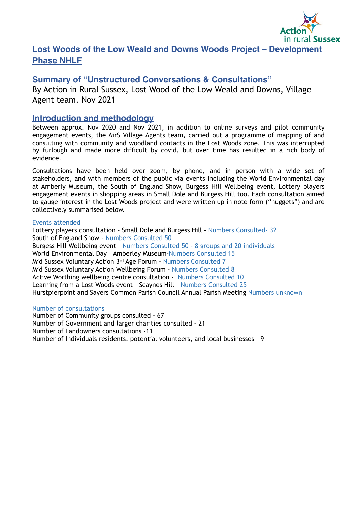

# **Lost Woods of the Low Weald and Downs Woods Project – Development Phase NHLF**

# **Summary of "Unstructured Conversations & Consultations"**

By Action in Rural Sussex, Lost Wood of the Low Weald and Downs, Village Agent team. Nov 2021

# **Introduction and methodology**

Between approx. Nov 2020 and Nov 2021, in addition to online surveys and pilot community engagement events, the AirS Village Agents team, carried out a programme of mapping of and consulting with community and woodland contacts in the Lost Woods zone. This was interrupted by furlough and made more difficult by covid, but over time has resulted in a rich body of evidence.

Consultations have been held over zoom, by phone, and in person with a wide set of stakeholders, and with members of the public via events including the World Environmental day at Amberly Museum, the South of England Show, Burgess Hill Wellbeing event, Lottery players engagement events in shopping areas in Small Dole and Burgess Hill too. Each consultation aimed to gauge interest in the Lost Woods project and were written up in note form ("nuggets") and are collectively summarised below.

# Events attended

Lottery players consultation – Small Dole and Burgess Hill - Numbers Consulted- 32 South of England Show - Numbers Consulted 50 Burgess Hill Wellbeing event – Numbers Consulted 50 - 8 groups and 20 individuals World Environmental Day – Amberley Museum-Numbers Consulted 15 Mid Sussex Voluntary Action 3rd Age Forum - Numbers Consulted 7 Mid Sussex Voluntary Action Wellbeing Forum - Numbers Consulted 8 Active Worthing wellbeing centre consultation - Numbers Consulted 10 Learning from a Lost Woods event – Scaynes Hill – Numbers Consulted 25 Hurstpierpoint and Sayers Common Parish Council Annual Parish Meeting Numbers unknown

## Number of consultations

Number of Community groups consulted - 67 Number of Government and larger charities consulted - 21 Number of Landowners consultations -11 Number of Individuals residents, potential volunteers, and local businesses – 9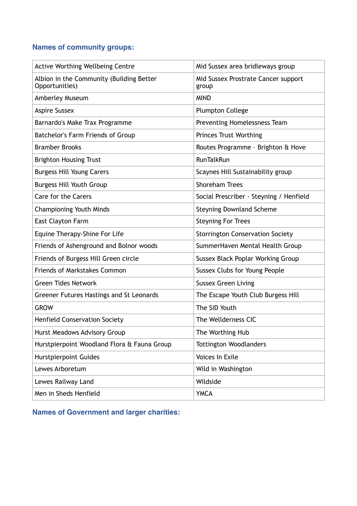# **Names of community groups:**

| <b>Active Worthing Wellbeing Centre</b>                    | Mid Sussex area bridleways group             |
|------------------------------------------------------------|----------------------------------------------|
| Albion in the Community (Building Better<br>Opportunities) | Mid Sussex Prostrate Cancer support<br>group |
| Amberley Museum                                            | <b>MIND</b>                                  |
| <b>Aspire Sussex</b>                                       | <b>Plumpton College</b>                      |
| Barnardo's Make Trax Programme                             | Preventing Homelessness Team                 |
| Batchelor's Farm Friends of Group                          | <b>Princes Trust Worthing</b>                |
| <b>Bramber Brooks</b>                                      | Routes Programme - Brighton & Hove           |
| <b>Brighton Housing Trust</b>                              | RunTalkRun                                   |
| <b>Burgess Hill Young Carers</b>                           | Scaynes Hill Sustainability group            |
| <b>Burgess Hill Youth Group</b>                            | <b>Shoreham Trees</b>                        |
| <b>Care for the Carers</b>                                 | Social Prescriber - Steyning / Henfield      |
| <b>Championing Youth Minds</b>                             | <b>Steyning Downland Scheme</b>              |
| East Clayton Farm                                          | <b>Steyning For Trees</b>                    |
| Equine Therapy-Shine For Life                              | <b>Storrington Conservation Society</b>      |
| Friends of Ashenground and Bolnor woods                    | SummerHaven Mental Health Group              |
| Friends of Burgess Hill Green circle                       | Sussex Black Poplar Working Group            |
| <b>Friends of Markstakes Common</b>                        | Sussex Clubs for Young People                |
| <b>Green Tides Network</b>                                 | <b>Sussex Green Living</b>                   |
| Greener Futures Hastings and St Leonards                   | The Escape Youth Club Burgess Hill           |
| <b>GROW</b>                                                | The SID Youth                                |
| <b>Henfield Conservation Society</b>                       | The Wellderness CIC                          |
| Hurst Meadows Advisory Group                               | The Worthing Hub                             |
| Hurstpierpoint Woodland Flora & Fauna Group                | <b>Tottington Woodlanders</b>                |
| <b>Hurstpierpoint Guides</b>                               | Voices In Exile                              |
| Lewes Arboretum                                            | Wild in Washington                           |
| Lewes Railway Land                                         | Wildside                                     |
| Men in Sheds Henfield                                      | <b>YMCA</b>                                  |

**Names of Government and larger charities:**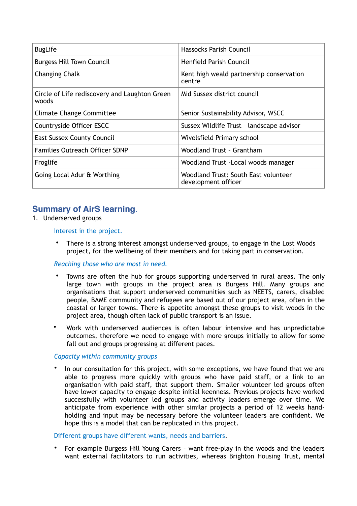| <b>BugLife</b>                                         | Hassocks Parish Council                                     |
|--------------------------------------------------------|-------------------------------------------------------------|
| <b>Burgess Hill Town Council</b>                       | Henfield Parish Council                                     |
| Changing Chalk                                         | Kent high weald partnership conservation<br>centre          |
| Circle of Life rediscovery and Laughton Green<br>woods | Mid Sussex district council                                 |
| <b>Climate Change Committee</b>                        | Senior Sustainability Advisor, WSCC                         |
| Countryside Officer ESCC                               | Sussex Wildlife Trust - landscape advisor                   |
| <b>East Sussex County Council</b>                      | Wivelsfield Primary school                                  |
| <b>Families Outreach Officer SDNP</b>                  | Woodland Trust - Grantham                                   |
| Froglife                                               | Woodland Trust - Local woods manager                        |
| Going Local Adur & Worthing                            | Woodland Trust: South East volunteer<br>development officer |

# **Summary of AirS learning**.

1. Underserved groups

# Interest in the project.

There is a strong interest amongst underserved groups, to engage in the Lost Woods project, for the wellbeing of their members and for taking part in conservation.

## *Reaching those who are most in need.*

- Towns are often the hub for groups supporting underserved in rural areas. The only large town with groups in the project area is Burgess Hill. Many groups and organisations that support underserved communities such as NEETS, carers, disabled people, BAME community and refugees are based out of our project area, often in the coastal or larger towns. There is appetite amongst these groups to visit woods in the project area, though often lack of public transport is an issue.
- Work with underserved audiences is often labour intensive and has unpredictable outcomes, therefore we need to engage with more groups initially to allow for some fall out and groups progressing at different paces.

## *Capacity within community groups*

In our consultation for this project, with some exceptions, we have found that we are able to progress more quickly with groups who have paid staff, or a link to an organisation with paid staff, that support them. Smaller volunteer led groups often have lower capacity to engage despite initial keenness. Previous projects have worked successfully with volunteer led groups and activity leaders emerge over time. We anticipate from experience with other similar projects a period of 12 weeks handholding and input may be necessary before the volunteer leaders are confident. We hope this is a model that can be replicated in this project.

## Different groups have different wants, needs and barriers.

• For example Burgess Hill Young Carers – want free-play in the woods and the leaders want external facilitators to run activities, whereas Brighton Housing Trust, mental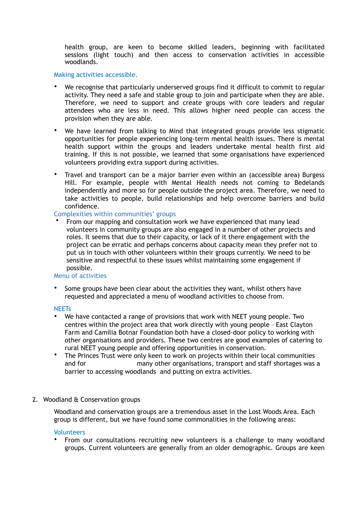health group, are keen to become skilled leaders, beginning with facilitated sessions (light touch) and then access to conservation activities in accessible woodlands.

#### Making activities accessible.

- We recognise that particularly underserved groups find it difficult to commit to regular activity. They need a safe and stable group to join and participate when they are able. Therefore, we need to support and create groups with core leaders and regular attendees who are less in need. This allows higher need people can access the provision when they are able.
- We have learned from talking to Mind that integrated groups provide less stigmatic opportunities for people experiencing long-term mental health issues. There is mental health support within the groups and leaders undertake mental health first aid training. If this is not possible, we learned that some organisations have experienced volunteers providing extra support during activities.
- Travel and transport can be a major barrier even within an (accessible area) Burgess Hill. For example, people with Mental Health needs not coming to Bedelands independently and more so for people outside the project area. Therefore, we need to take activities to people, build relationships and help overcome barriers and build confidence.

## Complexities within communities' groups

• From our mapping and consultation work we have experienced that many lead volunteers in community groups are also engaged in a number of other projects and roles. It seems that due to their capacity, or lack of it there engagement with the project can be erratic and perhaps concerns about capacity mean they prefer not to put us in touch with other volunteers within their groups currently. We need to be sensitive and respectful to these issues whilst maintaining some engagement if possible.

# Menu of activities

Some groups have been clear about the activities they want, whilst others have requested and appreciated a menu of woodland activities to choose from.

#### **NFFTs**

- We have contacted a range of provisions that work with NEET young people. Two centres within the project area that work directly with young people – East Clayton Farm and Camilia Botnar Foundation both have a closed-door policy to working with other organisations and providers. These two centres are good examples of catering to rural NEET young people and offering opportunities in conservation.
- The Princes Trust were only keen to work on projects within their local communities and for many other organisations, transport and staff shortages was a barrier to accessing woodlands and putting on extra activities.

## 2. Woodland & Conservation groups

Woodland and conservation groups are a tremendous asset in the Lost Woods Area. Each group is different, but we have found some commonalities in the following areas:

#### Volunteers

• From our consultations recruiting new volunteers is a challenge to many woodland groups. Current volunteers are generally from an older demographic. Groups are keen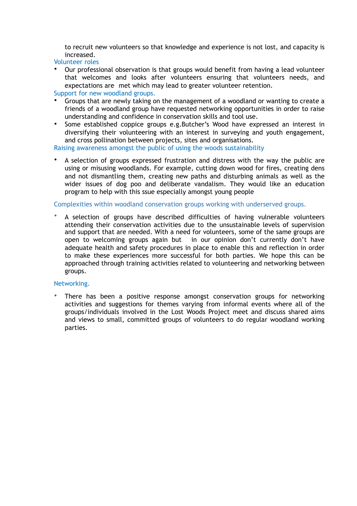to recruit new volunteers so that knowledge and experience is not lost, and capacity is increased.

Volunteer roles

• Our professional observation is that groups would benefit from having a lead volunteer that welcomes and looks after volunteers ensuring that volunteers needs, and expectations are met which may lead to greater volunteer retention.

Support for new woodland groups.

- Groups that are newly taking on the management of a woodland or wanting to create a friends of a woodland group have requested networking opportunities in order to raise understanding and confidence in conservation skills and tool use.
- Some established coppice groups e.g.Butcher's Wood have expressed an interest in diversifying their volunteering with an interest in surveying and youth engagement, and cross pollination between projects, sites and organisations.

Raising awareness amongst the public of using the woods sustainability

A selection of groups expressed frustration and distress with the way the public are using or misusing woodlands. For example, cutting down wood for fires, creating dens and not dismantling them, creating new paths and disturbing animals as well as the wider issues of dog poo and deliberate vandalism. They would like an education program to help with this ssue especially amongst young people

Complexities within woodland conservation groups working with underserved groups.

• A selection of groups have described difficulties of having vulnerable volunteers attending their conservation activities due to the unsustainable levels of supervision and support that are needed. With a need for volunteers, some of the same groups are open to welcoming groups again but in our opinion don't currently don't have adequate health and safety procedures in place to enable this and reflection in order to make these experiences more successful for both parties. We hope this can be approached through training activities related to volunteering and networking between groups.

#### Networking.

• There has been a positive response amongst conservation groups for networking activities and suggestions for themes varying from informal events where all of the groups/individuals involved in the Lost Woods Project meet and discuss shared aims and views to small, committed groups of volunteers to do regular woodland working parties.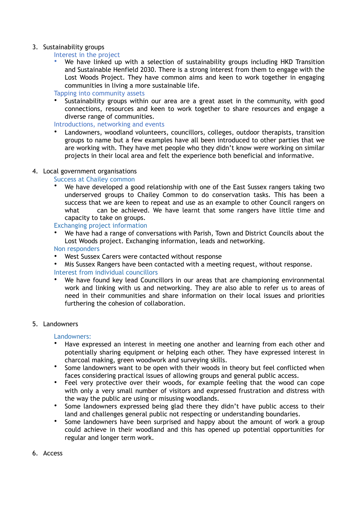# 3. Sustainability groups

# Interest in the project

• We have linked up with a selection of sustainability groups including HKD Transition and Sustainable Henfield 2030. There is a strong interest from them to engage with the Lost Woods Project. They have common aims and keen to work together in engaging communities in living a more sustainable life.

Tapping into community assets

• Sustainability groups within our area are a great asset in the community, with good connections, resources and keen to work together to share resources and engage a diverse range of communities.

Introductions, networking and events

• Landowners, woodland volunteers, councillors, colleges, outdoor therapists, transition groups to name but a few examples have all been introduced to other parties that we are working with. They have met people who they didn't know were working on similar projects in their local area and felt the experience both beneficial and informative.

# 4. Local government organisations

# Success at Chailey common

• We have developed a good relationship with one of the East Sussex rangers taking two underserved groups to Chailey Common to do conservation tasks. This has been a success that we are keen to repeat and use as an example to other Council rangers on what can be achieved. We have learnt that some rangers have little time and capacity to take on groups.

Exchanging project information

• We have had a range of conversations with Parish, Town and District Councils about the Lost Woods project. Exchanging information, leads and networking.

Non responders

- West Sussex Carers were contacted without response
- Mis Sussex Rangers have been contacted with a meeting request, without response.

## Interest from individual councillors

We have found key lead Councillors in our areas that are championing environmental work and linking with us and networking. They are also able to refer us to areas of need in their communities and share information on their local issues and priorities furthering the cohesion of collaboration.

## 5. Landowners

## Landowners:

- Have expressed an interest in meeting one another and learning from each other and potentially sharing equipment or helping each other. They have expressed interest in charcoal making, green woodwork and surveying skills.
- Some landowners want to be open with their woods in theory but feel conflicted when faces considering practical issues of allowing groups and general public access.
- Feel very protective over their woods, for example feeling that the wood can cope with only a very small number of visitors and expressed frustration and distress with the way the public are using or misusing woodlands.
- Some landowners expressed being glad there they didn't have public access to their land and challenges general public not respecting or understanding boundaries.
- Some landowners have been surprised and happy about the amount of work a group could achieve in their woodland and this has opened up potential opportunities for regular and longer term work.
- 6. Access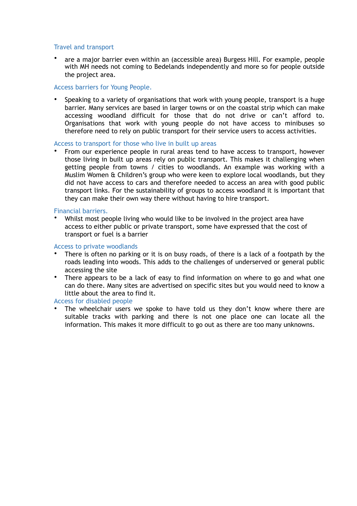## Travel and transport

• are a major barrier even within an (accessible area) Burgess Hill. For example, people with MH needs not coming to Bedelands independently and more so for people outside the project area.

#### Access barriers for Young People.

• Speaking to a variety of organisations that work with young people, transport is a huge barrier. Many services are based in larger towns or on the coastal strip which can make accessing woodland difficult for those that do not drive or can't afford to. Organisations that work with young people do not have access to minibuses so therefore need to rely on public transport for their service users to access activities.

#### Access to transport for those who live in built up areas

• From our experience people in rural areas tend to have access to transport, however those living in built up areas rely on public transport. This makes it challenging when getting people from towns / cities to woodlands. An example was working with a Muslim Women & Children's group who were keen to explore local woodlands, but they did not have access to cars and therefore needed to access an area with good public transport links. For the sustainability of groups to access woodland it is important that they can make their own way there without having to hire transport.

#### Financial barriers.

• Whilst most people living who would like to be involved in the project area have access to either public or private transport, some have expressed that the cost of transport or fuel is a barrier

#### Access to private woodlands

- There is often no parking or it is on busy roads, of there is a lack of a footpath by the roads leading into woods. This adds to the challenges of underserved or general public accessing the site
- There appears to be a lack of easy to find information on where to go and what one can do there. Many sites are advertised on specific sites but you would need to know a little about the area to find it.

#### Access for disabled people

The wheelchair users we spoke to have told us they don't know where there are suitable tracks with parking and there is not one place one can locate all the information. This makes it more difficult to go out as there are too many unknowns.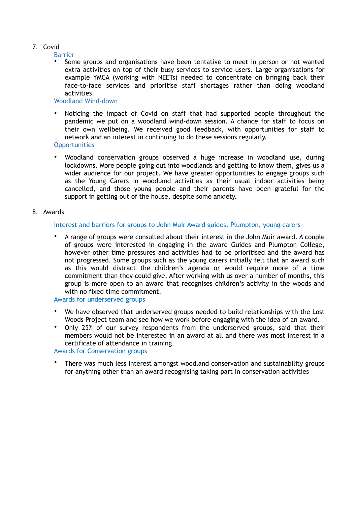# 7. Covid

Barrier

• Some groups and organisations have been tentative to meet in person or not wanted extra activities on top of their busy services to service users. Large organisations for example YMCA (working with NEETs) needed to concentrate on bringing back their face-to-face services and prioritise staff shortages rather than doing woodland activities.

## Woodland Wind-down

• Noticing the impact of Covid on staff that had supported people throughout the pandemic we put on a woodland wind-down session. A chance for staff to focus on their own wellbeing. We received good feedback, with opportunities for staff to network and an interest in continuing to do these sessions regularly.

**Opportunities** 

• Woodland conservation groups observed a huge increase in woodland use, during lockdowns. More people going out into woodlands and getting to know them, gives us a wider audience for our project. We have greater opportunities to engage groups such as the Young Carers in woodland activities as their usual indoor activities being cancelled, and those young people and their parents have been grateful for the support in getting out of the house, despite some anxiety.

#### 8. Awards

#### Interest and barriers for groups to John Muir Award guides, Plumpton, young carers

• A range of groups were consulted about their interest in the John Muir award. A couple of groups were interested in engaging in the award Guides and Plumpton College, however other time pressures and activities had to be prioritised and the award has not progressed. Some groups such as the young carers initially felt that an award such as this would distract the children's agenda or would require more of a time commitment than they could give. After working with us over a number of months, this group is more open to an award that recognises children's activity in the woods and with no fixed time commitment.

Awards for underserved groups

- We have observed that underserved groups needed to build relationships with the Lost Woods Project team and see how we work before engaging with the idea of an award.
- Only 25% of our survey respondents from the underserved groups, said that their members would not be interested in an award at all and there was most interest in a certificate of attendance in training.

Awards for Conservation groups

There was much less interest amongst woodland conservation and sustainability groups for anything other than an award recognising taking part in conservation activities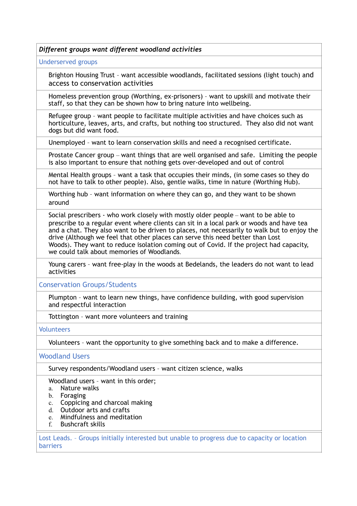*Different groups want different woodland activities*

Underserved groups

Brighton Housing Trust – want accessible woodlands, facilitated sessions (light touch) and access to conservation activities

Homeless prevention group (Worthing, ex-prisoners) – want to upskill and motivate their staff, so that they can be shown how to bring nature into wellbeing.

Refugee group – want people to facilitate multiple activities and have choices such as horticulture, leaves, arts, and crafts, but nothing too structured. They also did not want dogs but did want food.

Unemployed – want to learn conservation skills and need a recognised certificate.

Prostate Cancer group – want things that are well organised and safe. Limiting the people is also important to ensure that nothing gets over-developed and out of control

Mental Health groups – want a task that occupies their minds, (in some cases so they do not have to talk to other people). Also, gentle walks, time in nature (Worthing Hub).

Worthing hub – want information on where they can go, and they want to be shown around

Social prescribers - who work closely with mostly older people – want to be able to prescribe to a regular event where clients can sit in a local park or woods and have tea and a chat. They also want to be driven to places, not necessarily to walk but to enjoy the drive (Although we feel that other places can serve this need better than Lost Woods). They want to reduce isolation coming out of Covid. If the project had capacity, we could talk about memories of Woodlands.

Young carers – want free-play in the woods at Bedelands, the leaders do not want to lead activities

Conservation Groups/Students

Plumpton – want to learn new things, have confidence building, with good supervision and respectful interaction

Tottington – want more volunteers and training

**Volunteers** 

Volunteers – want the opportunity to give something back and to make a difference.

Woodland Users

Survey respondents/Woodland users – want citizen science, walks

Woodland users – want in this order;

- a. Nature walks
- b. Foraging
- c. Coppicing and charcoal making
- d. Outdoor arts and crafts
- e. Mindfulness and meditation
- f. Bushcraft skills

Lost Leads. – Groups initially interested but unable to progress due to capacity or location barriers